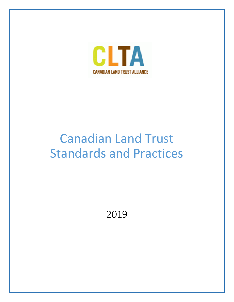

# Canadian Land Trust Standards and Practices

2019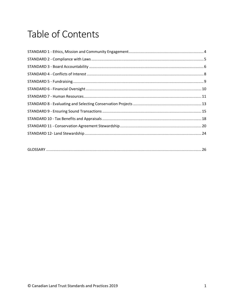## Table of Contents

|--|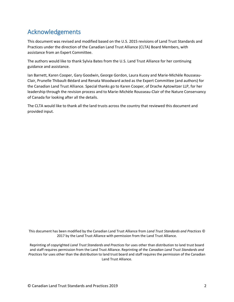### <span id="page-2-0"></span>Acknowledgements

This document was revised and modified based on the U.S. 2015 revisions of Land Trust Standards and Practices under the direction of the Canadian Land Trust Alliance (CLTA) Board Members, with assistance from an Expert Committee.

The authors would like to thank Sylvia Bates from the U.S. Land Trust Alliance for her continuing guidance and assistance.

Ian Barnett, Karen Cooper, Gary Goodwin, George Gordon, Laura Kucey and Marie-Michèle Rousseau-Clair, Prunelle Thibault-Bédard and Renata Woodward acted as the Expert Committee (and authors) for the Canadian Land Trust Alliance. Special thanks go to Karen Cooper, of Drache Aptowitzer LLP, for her leadership through the revision process and to Marie-Michèle Rousseau-Clair of the Nature Conservancy of Canada for looking after all the details.

The CLTA would like to thank all the land trusts across the country that reviewed this document and provided input.

This document has been modified by the Canadian Land Trust Alliance from *Land Trust Standards and Practices* © 2017 by the Land Trust Alliance with permission from the Land Trust Alliance.

Reprinting of copyrighted *Land Trust Standards and Practices* for uses other than distribution to land trust board and staff requires permission from the Land Trust Alliance. Reprinting of the *Canadian Land Trust Standards and Practices* for uses other than the distribution to land trust board and staff requires the permission of the Canadian Land Trust Alliance.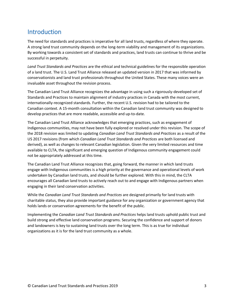### **Introduction**

The need for standards and practices is imperative for all land trusts, regardless of where they operate. A strong land trust community depends on the long-term viability and management of its organizations. By working towards a consistent set of standards and practices, land trusts can continue to thrive and be successful in perpetuity.

*Land Trust Standards and Practices* are the ethical and technical guidelines for the responsible operation of a land trust. The U.S. Land Trust Alliance released an updated version in 2017 that was informed by conservationists and land trust professionals throughout the United States. These many voices were an invaluable asset throughout the revision process.

The Canadian Land Trust Alliance recognizes the advantage in using such a rigorously-developed set of Standards and Practices to maintain alignment of industry practices in Canada with the most current, internationally-recognized standards. Further, the recent U.S. revision had to be tailored to the Canadian context. A 15-month consultation within the Canadian land trust community was designed to develop practices that are more readable, accessible and up-to-date.

The Canadian Land Trust Alliance acknowledges that emerging practices, such as engagement of Indigenous communities, may not have been fully explored or resolved under this revision. The scope of the 2018 revision was limited to updating *Canadian Land Trust Standards and Practices* as a result of the US 2017 revisions (from which *Canadian Land Trust Standards and Practices* are both licensed and derived), as well as changes to relevant Canadian legislation. Given the very limited resources and time available to CLTA, the significant and emerging question of Indigenous community engagement could not be appropriately addressed at this time.

The Canadian Land Trust Alliance recognizes that, going forward, the manner in which land trusts engage with Indigenous communities is a high priority at the governance and operational levels of work undertaken by Canadian land trusts, and should be further explored. With this in mind, the CLTA encourages all Canadian land trusts to actively reach out to and engage with Indigenous partners when engaging in their land conservation activities.

While the *Canadian Land Trust Standards and Practices* are designed primarily for land trusts with charitable status, they also provide important guidance for any organization or government agency that holds lands or conservation agreements for the benefit of the public.

Implementing the *Canadian Land Trust Standards and Practices* helps land trusts uphold public trust and build strong and effective land conservation programs. Securing the confidence and support of donors and landowners is key to sustaining land trusts over the long term. This is as true for individual organizations as it is for the land trust community as a whole.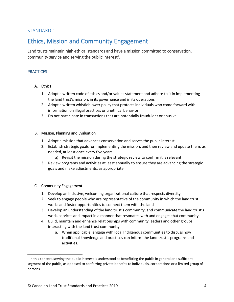### <span id="page-4-0"></span>Ethics, Mission and Community Engagement

Land trusts maintain high ethical standards and have a mission committed to conservation, community service and serving the public interest<sup>1</sup>.

#### **PRACTICES**

#### A. Ethics

- 1. Adopt a written code of ethics and/or values statement and adhere to it in implementing the land trust's mission, in its governance and in its operations
- 2. Adopt a written whistleblower policy that protects individuals who come forward with information on illegal practices or unethical behavior
- 3. Do not participate in transactions that are potentially fraudulent or abusive

#### B. Mission, Planning and Evaluation

- 1. Adopt a mission that advances conservation and serves the public interest
- 2. Establish strategic goals for implementing the mission, and then review and update them, as needed, at least once every five years
	- a) Revisit the mission during the strategic review to confirm it is relevant
- 3. Review programs and activities at least annually to ensure they are advancing the strategic goals and make adjustments, as appropriate

#### C. Community Engagement

 $\overline{\phantom{a}}$ 

- 1. Develop an inclusive, welcoming organizational culture that respects diversity
- 2. Seek to engage people who are representative of the community in which the land trust works and foster opportunities to connect them with the land
- 3. Develop an understanding of the land trust's community, and communicate the land trust's work, services and impact in a manner that resonates with and engages that community
- 4. Build, maintain and enhance relationships with community leaders and other groups interacting with the land trust community
	- a. When applicable, engage with local Indigenous communities to discuss how traditional knowledge and practices can inform the land trust's programs and activities.

<sup>&</sup>lt;sup>1</sup> In this context, serving the public interest is understood as benefitting the public in general or a sufficient segment of the public, as opposed to conferring private benefits to individuals, corporations or a limited group of persons.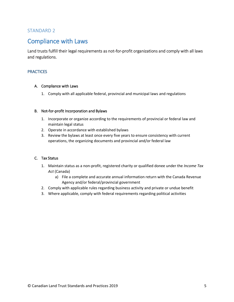### <span id="page-5-1"></span><span id="page-5-0"></span>Compliance with Laws

Land trusts fulfill their legal requirements as not-for-profit organizations and comply with all laws and regulations.

#### **PRACTICES**

#### A. Compliance with Laws

1. Comply with all applicable federal, provincial and municipal laws and regulations

#### B. Not-for-profit Incorporation and Bylaws

- 1. Incorporate or organize according to the requirements of provincial or federal law and maintain legal status
- 2. Operate in accordance with established bylaws
- 3. Review the bylaws at least once every five years to ensure consistency with current operations, the organizing documents and provincial and/or federal law

#### C. Tax Status

- 1. Maintain status as a non-profit, registered charity or qualified donee under the *Income Tax Act* (Canada)
	- a) File a complete and accurate annual information return with the Canada Revenue Agency and/or federal/provincial government
- 2. Comply with applicable rules regarding business activity and private or undue benefit
- 3. Where applicable, comply with federal requirements regarding political activities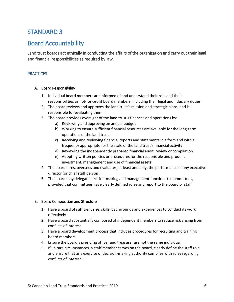### <span id="page-6-1"></span><span id="page-6-0"></span>Board Accountability

Land trust boards act ethically in conducting the affairs of the organization and carry out their legal and financial responsibilities as required by law.

#### **PRACTICES**

#### A. Board Responsibility

- 1. Individual board members are informed of and understand their role and their responsibilities as not-for-profit board members, including their legal and fiduciary duties
- 2. The board reviews and approves the land trust's mission and strategic plans, and is responsible for evaluating them
- 3. The board provides oversight of the land trust's finances and operations by:
	- a) Reviewing and approving an annual budget
	- b) Working to ensure sufficient financial resources are available for the long-term operations of the land trust
	- c) Receiving and reviewing financial reports and statements in a form and with a frequency appropriate for the scale of the land trust's financial activity
	- d) Reviewing the independently prepared financial audit, review or compilation
	- e) Adopting written policies or procedures for the responsible and prudent investment, management and use of financial assets
- 4. The board hires, oversees and evaluates, at least annually, the performance of any executive director (or chief staff person)
- 5. The board may delegate decision-making and management functions to committees, provided that committees have clearly defined roles and report to the board or staff

#### B. Board Composition and Structure

- 1. Have a board of sufficient size, skills, backgrounds and experiences to conduct its work effectively
- 2. Have a board substantially composed of independent members to reduce risk arising from conflicts of interest
- 3. Have a board development process that includes procedures for recruiting and training board members
- 4. Ensure the board's presiding officer and treasurer are not the same individual
- 5. If, in rare circumstances, a staff member serves on the board, clearly define the staff role and ensure that any exercise of decision-making authority complies with rules regarding conflicts of interest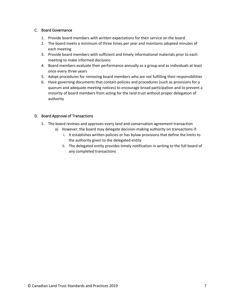#### C. Board Governance

- 1. Provide board members with written expectations for their service on the board
- 2. The board meets a minimum of three times per year and maintains adopted minutes of each meeting
- 3. Provide board members with sufficient and timely informational materials prior to each meeting to make informed decisions
- 4. Board members evaluate their performance annually as a group and as individuals at least once every three years
- 5. Adopt procedures for removing board members who are not fulfilling their responsibilities
- 6. Have governing documents that contain policies and procedures (such as provisions for a quorum and adequate meeting notices) to encourage broad participation and to prevent a minority of board members from acting for the land trust without proper delegation of authority

#### D. Board Approval of Transactions

- 1. The board reviews and approves every land and conservation agreement transaction
	- a) However, the board may delegate decision-making authority on transactions if:
		- i. It establishes written policies or has bylaw provisions that define the limits to the authority given to the delegated entity
		- ii. The delegated entity provides timely notification in writing to the full board of any completed transactions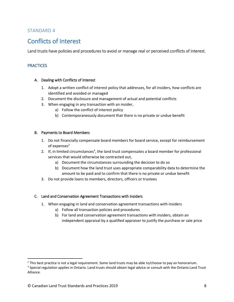### <span id="page-8-1"></span><span id="page-8-0"></span>Conflicts of Interest

Land trusts have policies and procedures to avoid or manage real or perceived conflicts of interest.

#### **PRACTICES**

 $\overline{\phantom{a}}$ 

#### A. Dealing with Conflicts of Interest

- 1. Adopt a written conflict of interest policy that addresses, for all insiders, how conflicts are identified and avoided or managed
- 2. Document the disclosure and management of actual and potential conflicts
- 3. When engaging in any transaction with an insider,
	- a) Follow the conflict of interest policy
	- b) Contemporaneously document that there is no private or undue benefit

#### B. Payments to Board Members

- 1. Do not financially compensate board members for board service, except for reimbursement of expenses $2$
- 2. If, in limited circumstances<sup>3</sup>, the land trust compensates a board member for professional services that would otherwise be contracted out,
	- a) Document the circumstances surrounding the decision to do so
	- b) Document how the land trust uses appropriate comparability data to determine the amount to be paid and to confirm that there is no private or undue benefit
- 3. Do not provide loans to members, directors, officers or trustees

#### C. Land and Conservation Agreement Transactions with Insiders

- 1. When engaging in land and conservation agreement transactions with insiders
	- a) Follow all transaction policies and procedures
	- b) For land and conservation agreement transactions with insiders, obtain an independent appraisal by a qualified appraiser to justify the purchase or sale price

 $<sup>2</sup>$  This best practice is not a legal requirement. Some land trusts may be able to/choose to pay an honorarium.</sup>

<sup>&</sup>lt;sup>3</sup> Special regulation applies in Ontario. Land trusts should obtain legal advice or consult with the Ontario Land Trust Alliance.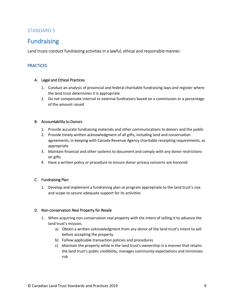### <span id="page-9-1"></span><span id="page-9-0"></span>Fundraising

Land trusts conduct fundraising activities in a lawful, ethical and responsible manner.

#### **PRACTICES**

#### A. Legal and Ethical Practices

- 1. Conduct an analysis of provincial and federal charitable fundraising laws and register where the land trust determines it is appropriate
- 2. Do not compensate internal or external fundraisers based on a commission or a percentage of the amount raised

#### B. Accountability to Donors

- 1. Provide accurate fundraising materials and other communications to donors and the public
- 2. Provide timely written acknowledgment of all gifts, including land and conservation agreements, in keeping with Canada Revenue Agency charitable receipting requirements, as appropriate
- 3. Maintain financial and other systems to document and comply with any donor restrictions on gifts
- 4. Have a written policy or procedure to ensure donor privacy concerns are honored

#### C. Fundraising Plan

1. Develop and implement a fundraising plan or program appropriate to the land trust's size and scope to secure adequate support for its activities

#### D. Non-conservation Real Property for Resale

- 1. When acquiring non-conservation real property with the intent of selling it to advance the land trust's mission,
	- a) Obtain a written acknowledgment from any donor of the land trust's intent to sell before accepting the property
	- b) Follow applicable transaction policies and procedures
	- c) Maintain the property while in the land trust's ownership in a manner that retains the land trust's public credibility, manages community expectations and minimizes risk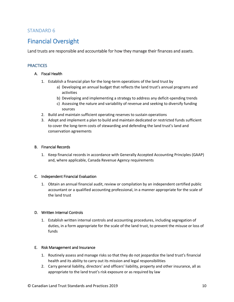### <span id="page-10-1"></span><span id="page-10-0"></span>Financial Oversight

Land trusts are responsible and accountable for how they manage their finances and assets.

#### **PRACTICES**

#### A. Fiscal Health

- 1. Establish a financial plan for the long-term operations of the land trust by
	- a) Developing an annual budget that reflects the land trust's annual programs and activities
	- b) Developing and implementing a strategy to address any deficit-spending trends
	- c) Assessing the nature and variability of revenue and seeking to diversify funding sources
- 2. Build and maintain sufficient operating reserves to sustain operations
- 3. Adopt and implement a plan to build and maintain dedicated or restricted funds sufficient to cover the long-term costs of stewarding and defending the land trust's land and conservation agreements

#### B. Financial Records

1. Keep financial records in accordance with Generally Accepted Accounting Principles (GAAP) and, where applicable, Canada Revenue Agency requirements

#### C. Independent Financial Evaluation

1. Obtain an annual financial audit, review or compilation by an independent certified public accountant or a qualified accounting professional, in a manner appropriate for the scale of the land trust

#### D. Written Internal Controls

1. Establish written internal controls and accounting procedures, including segregation of duties, in a form appropriate for the scale of the land trust, to prevent the misuse or loss of funds

#### E. Risk Management and Insurance

- 1. Routinely assess and manage risks so that they do not jeopardize the land trust's financial health and its ability to carry out its mission and legal responsibilities
- 2. Carry general liability, directors' and officers' liability, property and other insurance, all as appropriate to the land trust's risk exposure or as required by law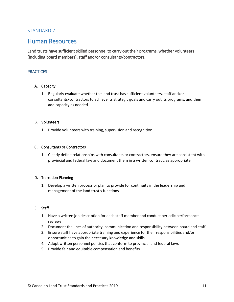### <span id="page-11-1"></span><span id="page-11-0"></span>Human Resources

Land trusts have sufficient skilled personnel to carry out their programs, whether volunteers (including board members), staff and/or consultants/contractors.

#### **PRACTICES**

#### A. Capacity

1. Regularly evaluate whether the land trust has sufficient volunteers, staff and/or consultants/contractors to achieve its strategic goals and carry out its programs, and then add capacity as needed

#### B. Volunteers

1. Provide volunteers with training, supervision and recognition

#### C. Consultants or Contractors

1. Clearly define relationships with consultants or contractors, ensure they are consistent with provincial and federal law and document them in a written contract, as appropriate

#### D. Transition Planning

1. Develop a written process or plan to provide for continuity in the leadership and management of the land trust's functions

#### E. Staff

- 1. Have a written job description for each staff member and conduct periodic performance reviews
- 2. Document the lines of authority, communication and responsibility between board and staff
- 3. Ensure staff have appropriate training and experience for their responsibilities and/or opportunities to gain the necessary knowledge and skills
- 4. Adopt written personnel policies that conform to provincial and federal laws
- 5. Provide fair and equitable compensation and benefits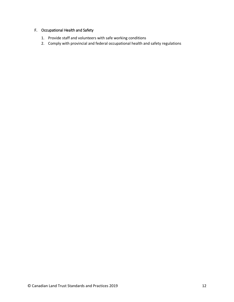#### F. Occupational Health and Safety

- 1. Provide staff and volunteers with safe working conditions
- 2. Comply with provincial and federal occupational health and safety regulations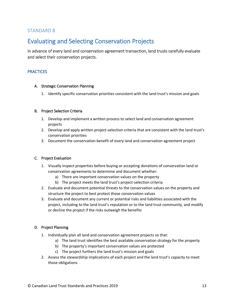### <span id="page-13-1"></span><span id="page-13-0"></span>Evaluating and Selecting Conservation Projects

In advance of every land and conservation agreement transaction, land trusts carefully evaluate and select their conservation projects.

#### **PRACTICES**

#### A. Strategic Conservation Planning

1. Identify specific conservation priorities consistent with the land trust's mission and goals

#### B. Project Selection Criteria

- 1. Develop and implement a written process to select land and conservation agreement projects
- 2. Develop and apply written project-selection criteria that are consistent with the land trust's conservation priorities
- 3. Document the conservation benefit of every land and conservation agreement project

#### C. Project Evaluation

- 1. Visually inspect properties before buying or accepting donations of conservation land or conservation agreements to determine and document whether:
	- a) There are important conservation values on the property
	- b) The project meets the land trust's project-selection criteria
- 2. Evaluate and document potential threats to the conservation values on the property and structure the project to best protect those conservation values
- 3. Evaluate and document any current or potential risks and liabilities associated with the project, including to the land trust's reputation or to the land trust community, and modify or decline the project if the risks outweigh the benefits

#### D. Project Planning

- 1. Individually plan all land and conservation agreement projects so that:
	- a) The land trust identifies the best available conservation strategy for the property
	- b) The property's important conservation values are protected
	- c) The project furthers the land trust's mission and goals
- 2. Assess the stewardship implications of each project and the land trust's capacity to meet those obligations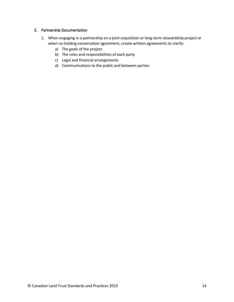#### E. Partnership Documentation

- 1. When engaging in a partnership on a joint acquisition or long-term stewardship project or when co-holding conservation agreement, create written agreements to clarify:
	- a) The goals of the project
	- b) The roles and responsibilities of each party
	- c) Legal and financial arrangements
	- d) Communications to the public and between parties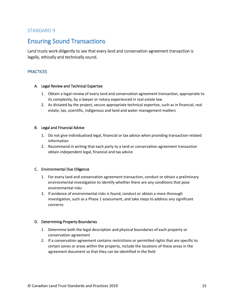### <span id="page-15-1"></span><span id="page-15-0"></span>Ensuring Sound Transactions

Land trusts work diligently to see that every land and conservation agreement transaction is legally, ethically and technically sound.

#### **PRACTICES**

#### A. Legal Review and Technical Expertise

- 1. Obtain a legal review of every land and conservation agreement transaction, appropriate to its complexity, by a lawyer or notary experienced in real estate law
- 2. As dictated by the project, secure appropriate technical expertise, such as in financial, real estate, tax, scientific, indigenous and land and water management matters

#### B. Legal and Financial Advice

- 1. Do not give individualized legal, financial or tax advice when providing transaction-related information
- 2. Recommend in writing that each party to a land or conservation agreement transaction obtain independent legal, financial and tax advice

#### C. Environmental Due Diligence

- 1. For every land and conservation agreement transaction, conduct or obtain a preliminary environmental investigation to identify whether there are any conditions that pose environmental risks
- 2. If evidence of environmental risks is found, conduct or obtain a more thorough investigation, such as a Phase 1 assessment, and take steps to address any significant concerns

#### D. Determining Property Boundaries

- 1. Determine both the legal description and physical boundaries of each property or conservation agreement
- 2. If a conservation agreement contains restrictions or permitted rights that are specific to certain zones or areas within the property, include the locations of these areas in the agreement document so that they can be identified in the field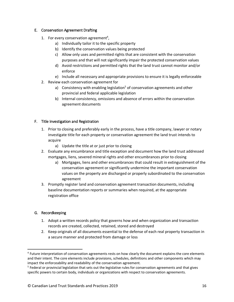#### E. Conservation Agreement Drafting

- 1. For every conservation agreement<sup>4</sup>,
	- a) Individually tailor it to the specific property
	- b) Identify the conservation values being protected
	- c) Allow only uses and permitted rights that are consistent with the conservation purposes and that will not significantly impair the protected conservation values
	- d) Avoid restrictions and permitted rights that the land trust cannot monitor and/or enforce
	- e) Include all necessary and appropriate provisions to ensure it is legally enforceable
- 2. Review each conservation agreement for
	- a) Consistency with enabling legislation<sup>5</sup> of conservation agreements and other provincial and federal applicable legislation
	- b) Internal consistency, omissions and absence of errors within the conservation agreement documents

#### F. Title Investigation and Registration

- 1. Prior to closing and preferably early in the process, have a title company, lawyer or notary investigate title for each property or conservation agreement the land trust intends to acquire
	- a) Update the title at or just prior to closing
- 2. Evaluate any encumbrance and title exception and document how the land trust addressed mortgages, liens, severed mineral rights and other encumbrances prior to closing
	- a) Mortgages, liens and other encumbrances that could result in extinguishment of the conservation agreement or significantly undermine the important conservation values on the property are discharged or properly subordinated to the conservation agreement
- 3. Promptly register land and conservation agreement transaction documents, including baseline documentation reports or summaries when required, at the appropriate registration office

#### G. Recordkeeping

 $\overline{a}$ 

- 1. Adopt a written records policy that governs how and when organization and transaction records are created, collected, retained, stored and destroyed
- 2. Keep originals of all documents essential to the defense of each real property transaction in a secure manner and protected from damage or loss

<sup>&</sup>lt;sup>4</sup> Future interpretation of conservation agreements rests on how clearly the document explains the core elements and their intent. The core elements include provisions, schedules, definitions and other components which may impact the enforceability and readability of the conservation agreement.

<sup>&</sup>lt;sup>5</sup> Federal or provincial legislation that sets out the legislative rules for conservation agreements and that gives specific powers to certain body, individuals or organizations with respect to conservation agreements.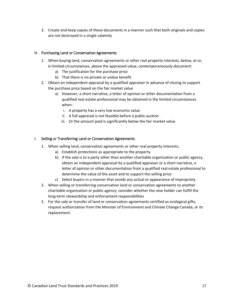3. Create and keep copies of these documents in a manner such that both originals and copies are not destroyed in a single calamity

#### H. Purchasing Land or Conservation Agreements

- 1. When buying land, conservation agreements or other real property interests, below, at or, in limited circumstances, above the appraised value, contemporaneously document:
	- a) The justification for the purchase price
	- b) That there is no private or undue benefit
- 2. Obtain an independent appraisal by a qualified appraiser in advance of closing to support the purchase price based on the fair market value
	- a) However, a short narrative, a letter of opinion or other documentation from a qualified real estate professional may be obtained in the limited circumstances when:
		- i. A property has a very low economic value
		- ii. A full appraisal is not feasible before a public auction
		- iii. Or the amount paid is significantly below the fair market value

#### I. Selling or Transferring Land or Conservation Agreements

- 1. When selling land, conservation agreements or other real property interests,
	- a) Establish protections as appropriate to the property
	- b) If the sale is to a party other than another charitable organization or public agency, obtain an independent appraisal by a qualified appraiser or a short narrative, a letter of opinion or other documentation from a qualified real estate professional to determine the value of the asset and to support the selling price
	- c) Select buyers in a manner that avoids any actual or appearance of impropriety
- 2. When selling or transferring conservation land or conservation agreements to another charitable organization or public agency, consider whether the new holder can fulfill the long-term stewardship and enforcement responsibilities
- 3. For the sale or transfer of land or conservation agreements certified as ecological gifts, request authorization from the Minister of Environment and Climate Change Canada, or its replacement.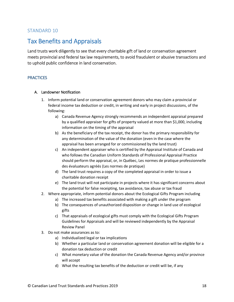### <span id="page-18-1"></span><span id="page-18-0"></span>Tax Benefits and Appraisals

Land trusts work diligently to see that every charitable gift of land or conservation agreement meets provincial and federal tax law requirements, to avoid fraudulent or abusive transactions and to uphold public confidence in land conservation.

#### **PRACTICES**

#### A. Landowner Notification

- 1. Inform potential land or conservation agreement donors who may claim a provincial or federal income tax deduction or credit, in writing and early in project discussions, of the following:
	- a) Canada Revenue Agency strongly recommends an independent appraisal prepared by a qualified appraiser for gifts of property valued at more than \$1,000, including information on the timing of the appraisal
	- b) As the beneficiary of the tax receipt, the donor has the primary responsibility for any determination of the value of the donation (even in the case where the appraisal has been arranged for or commissioned by the land trust)
	- c) An independent appraiser who is certified by the Appraisal Institute of Canada and who follows the Canadian Uniform Standards of Professional Appraisal Practice should perform the appraisal, or, in Québec, Les normes de pratique professionnelle des évaluateurs agréés (Les normes de pratique)
	- d) The land trust requires a copy of the completed appraisal in order to issue a charitable donation receipt
	- e) The land trust will not participate in projects where it has significant concerns about the potential for false receipting, tax avoidance, tax abuse or tax fraud
- 2. Where appropriate, inform potential donors about the Ecological Gifts Program including
	- a) The increased tax benefits associated with making a gift under the program
	- b) The consequences of unauthorized disposition or change in land use of ecological gifts
	- c) That appraisals of ecological gifts must comply with the Ecological Gifts Program Guidelines for Appraisals and will be reviewed independently by the Appraisal Review Panel
- 3. Do not make assurances as to:
	- a) Individualized legal or tax implications
	- b) Whether a particular land or conservation agreement donation will be eligible for a donation tax deduction or credit
	- c) What monetary value of the donation the Canada Revenue Agency and/or province will accept
	- d) What the resulting tax benefits of the deduction or credit will be, if any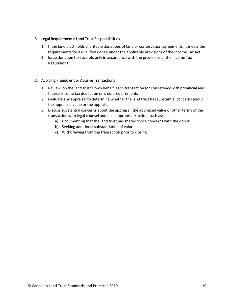#### B. Legal Requirements: Land Trust Responsibilities

- 1. If the land trust holds charitable donations of land or conservation agreements, it meets the requirements for a qualified donee under the applicable provisions of the Income Tax Act
- 2. Issue donation tax receipts only in accordance with the provisions of the Income Tax Regulations

#### C. Avoiding Fraudulent or Abusive Transactions

- 1. Review, on the land trust's own behalf, each transaction for consistency with provincial and federal income tax deduction or credit requirements
- 2. Evaluate any appraisal to determine whether the land trust has substantial concerns about the appraised value or the appraisal
- 3. Discuss substantial concerns about the appraisal, the appraised value or other terms of the transaction with legal counsel and take appropriate action, such as:
	- a) Documenting that the land trust has shared those concerns with the donor
	- b) Seeking additional substantiation of value
	- c) Withdrawing from the transaction prior to closing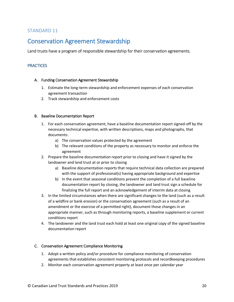### <span id="page-20-1"></span><span id="page-20-0"></span>Conservation Agreement Stewardship

Land trusts have a program of responsible stewardship for their conservation agreements.

#### **PRACTICES**

#### A. Funding Conservation Agreement Stewardship

- 1. Estimate the long-term stewardship and enforcement expenses of each conservation agreement transaction
- 2. Track stewardship and enforcement costs

#### B. Baseline Documentation Report

- 1. For each conservation agreement, have a baseline documentation report signed-off by the necessary technical expertise, with written descriptions, maps and photographs, that documents:
	- a) The conservation values protected by the agreement
	- b) The relevant conditions of the property as necessary to monitor and enforce the agreement
- 2. Prepare the baseline documentation report prior to closing and have it signed by the landowner and land trust at or prior to closing
	- a) Baseline documentation reports that require technical data collection are prepared with the support of professional(s) having appropriate background and expertise
	- b) In the event that seasonal conditions prevent the completion of a full baseline documentation report by closing, the landowner and land trust sign a schedule for finalizing the full report and an acknowledgement of interim data at closing
- 3. In the limited circumstances when there are significant changes to the land (such as a result of a wildfire or bank erosion) or the conservation agreement (such as a result of an amendment or the exercise of a permitted right), document those changes in an appropriate manner, such as through monitoring reports, a baseline supplement or current conditions report
- 4. The landowner and the land trust each hold at least one original copy of the signed baseline documentation report

#### C. Conservation Agreement Compliance Monitoring

- 1. Adopt a written policy and/or procedure for compliance monitoring of conservation agreements that establishes consistent monitoring protocols and recordkeeping procedures
- 2. Monitor each conservation agreement property at least once per calendar year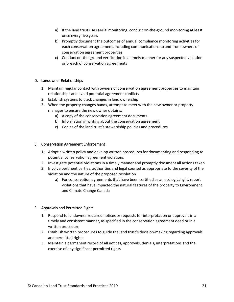- a) If the land trust uses aerial monitoring, conduct on-the-ground monitoring at least once every five years
- b) Promptly document the outcomes of annual compliance monitoring activities for each conservation agreement, including communications to and from owners of conservation agreement properties
- c) Conduct on-the-ground verification in a timely manner for any suspected violation or breach of conservation agreements

#### D. Landowner Relationships

- 1. Maintain regular contact with owners of conservation agreement properties to maintain relationships and avoid potential agreement conflicts
- 2. Establish systems to track changes in land ownership
- 3. When the property changes hands, attempt to meet with the new owner or property manager to ensure the new owner obtains:
	- a) A copy of the conservation agreement documents
	- b) Information in writing about the conservation agreement
	- c) Copies of the land trust's stewardship policies and procedures

#### E. Conservation Agreement Enforcement

- 1. Adopt a written policy and develop written procedures for documenting and responding to potential conservation agreement violations
- 2. Investigate potential violations in a timely manner and promptly document all actions taken
- 3. Involve pertinent parties, authorities and legal counsel as appropriate to the severity of the violation and the nature of the proposed resolution
	- a) For conservation agreements that have been certified as an ecological gift, report violations that have impacted the natural features of the property to Environment and Climate Change Canada

#### F. Approvals and Permitted Rights

- 1. Respond to landowner required notices or requests for interpretation or approvals in a timely and consistent manner, as specified in the conservation agreement deed or in a written procedure
- 2. Establish written procedures to guide the land trust's decision-making regarding approvals and permitted rights
- 3. Maintain a permanent record of all notices, approvals, denials, interpretations and the exercise of any significant permitted rights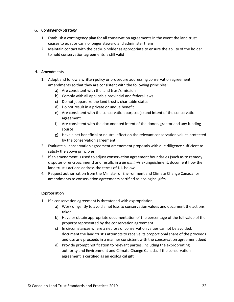#### G. Contingency Strategy

- 1. Establish a contingency plan for all conservation agreements in the event the land trust ceases to exist or can no longer steward and administer them
- 2. Maintain contact with the backup holder as appropriate to ensure the ability of the holder to hold conservation agreements is still valid

#### H. Amendments

- 1. Adopt and follow a written policy or procedure addressing conservation agreement amendments so that they are consistent with the following principles:
	- a) Are consistent with the land trust's mission
	- b) Comply with all applicable provincial and federal laws
	- c) Do not jeopardize the land trust's charitable status
	- d) Do not result in a private or undue benefit
	- e) Are consistent with the conservation purpose(s) and intent of the conservation agreement
	- f) Are consistent with the documented intent of the donor, grantor and any funding source
	- g) Have a net beneficial or neutral effect on the relevant conservation values protected by the conservation agreement
- 2. Evaluate all conservation agreement amendment proposals with due diligence sufficient to satisfy the above principles
- 3. If an amendment is used to adjust conservation agreement boundaries (such as to remedy disputes or encroachment) and results in a *de minimis* extinguishment, document how the land trust's actions address the terms of J.1. below
- 4. Request authorization from the Minister of Environment and Climate Change Canada for amendments to conservation agreements certified as ecological gifts

#### I. Expropriation

- 1. If a conservation agreement is threatened with expropriation,
	- a) Work diligently to avoid a net loss to conservation values and document the actions taken
	- b) Have or obtain appropriate documentation of the percentage of the full value of the property represented by the conservation agreement
	- c) In circumstances where a net loss of conservation values cannot be avoided, document the land trust's attempts to receive its proportional share of the proceeds and use any proceeds in a manner consistent with the conservation agreement deed
	- d) Provide prompt notification to relevant parties, including the expropriating authority and Environment and Climate Change Canada, if the conservation agreement is certified as an ecological gift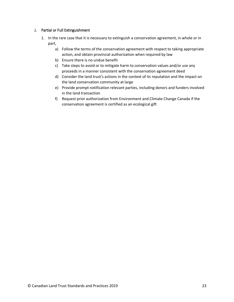#### J. Partial or Full Extinguishment

- 1. In the rare case that it is necessary to extinguish a conservation agreement, in whole or in part,
	- a) Follow the terms of the conservation agreement with respect to taking appropriate action, and obtain provincial authorization when required by law
	- b) Ensure there is no undue benefit
	- c) Take steps to avoid or to mitigate harm to conservation values and/or use any proceeds in a manner consistent with the conservation agreement deed
	- d) Consider the land trust's actions in the context of its reputation and the impact on the land conservation community at large
	- e) Provide prompt notification relevant parties, including donors and funders involved in the land transaction
	- f) Request prior authorization from Environment and Climate Change Canada if the conservation agreement is certified as an ecological gift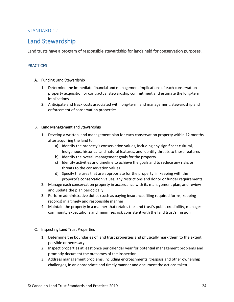### <span id="page-24-1"></span><span id="page-24-0"></span>Land Stewardship

Land trusts have a program of responsible stewardship for lands held for conservation purposes.

#### **PRACTICES**

#### A. Funding Land Stewardship

- 1. Determine the immediate financial and management implications of each conservation property acquisition or contractual stewardship commitment and estimate the long-term implications
- 2. Anticipate and track costs associated with long-term land management, stewardship and enforcement of conservation properties

#### B. Land Management and Stewardship

- 1. Develop a written land management plan for each conservation property within 12 months after acquiring the land to:
	- a) Identify the property's conservation values, including any significant cultural, Indigenous, historical and natural features, and identify threats to those features
	- b) Identify the overall management goals for the property
	- c) Identify activities and timeline to achieve the goals and to reduce any risks or threats to the conservation values
	- d) Specify the uses that are appropriate for the property, in keeping with the property's conservation values, any restrictions and donor or funder requirements
- 2. Manage each conservation property in accordance with its management plan, and review and update the plan periodically
- 3. Perform administrative duties (such as paying insurance, filing required forms, keeping records) in a timely and responsible manner
- 4. Maintain the property in a manner that retains the land trust's public credibility, manages community expectations and minimizes risk consistent with the land trust's mission

#### C. Inspecting Land Trust Properties

- 1. Determine the boundaries of land trust properties and physically mark them to the extent possible or necessary
- 2. Inspect properties at least once per calendar year for potential management problems and promptly document the outcomes of the inspection
- 3. Address management problems, including encroachments, trespass and other ownership challenges, in an appropriate and timely manner and document the actions taken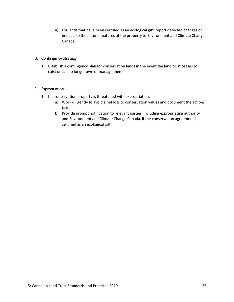a) For lands that have been certified as an ecological gift, report detected changes or impacts to the natural features of the property to Environment and Climate Change Canada

#### D. Contingency Strategy

1. Establish a contingency plan for conservation lands in the event the land trust ceases to exist or can no longer own or manage them

#### E. Expropriation

- 1. If a conservation property is threatened with expropriation:
	- a) Work diligently to avoid a net loss to conservation values and document the actions taken
	- b) Provide prompt notification to relevant parties, including expropriating authority and Environment and Climate Change Canada, if the conservation agreement is certified as an ecological gift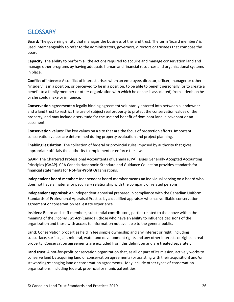### <span id="page-26-0"></span>**GLOSSARY**

**Board:** The governing entity that manages the business of the land trust. The term 'board members' is used interchangeably to refer to the administrators, governors, directors or trustees that compose the board.

**Capacity**: The ability to perform all the actions required to acquire and manage conservation land and manage other programs by having adequate human and financial resources and organizational systems in place.

**Conflict of interest**: A conflict of interest arises when an employee, director, officer, manager or other "insider," is in a position, or perceived to be in a position, to be able to benefit personally (or to create a benefit to a family member or other organization with which he or she is associated) from a decision he or she could make or influence.

**Conservation agreement**: A legally binding agreement voluntarily entered into between a landowner and a land trust to restrict the use of subject real property to protect the conservation values of the property, and may include a servitude for the use and benefit of dominant land, a covenant or an easement.

**Conservation values**: The key values on a site that are the focus of protection efforts. Important conservation values are determined during property evaluation and project planning.

**Enabling legislation:** The collection of federal or provincial rules imposed by authority that gives appropriate officials the authority to implement or enforce the law.

**GAAP**: The Chartered Professional Accountants of Canada (CPA) issues Generally Accepted Accounting Principles (GAAP). CPA Canada Handbook: Standard and Guidance Collection provides standards for financial statements for Not-for-Profit Organizations.

**Independent board member**: Independent board member means an individual serving on a board who does not have a material or pecuniary relationship with the company or related persons.

**Independent appraisal**: An independent appraisal prepared in compliance with the Canadian Uniform Standards of Professional Appraisal Practice by a qualified appraiser who has verifiable conservation agreement or conservation real estate experience.

**Insiders**: Board and staff members, substantial contributors, parties related to the above within the meaning of the *Income Tax Act* (Canada), those who have an ability to influence decisions of the organization and those with access to information not available to the general public.

**Land**: Conservation properties held in fee simple ownership and any interest or right, including subsurface, surface, air, mineral, water and development rights and any other interests or rights in real property. Conservation agreements are excluded from this definition and are treated separately.

**Land trust**: A not-for-profit conservation organization that, as all or part of its mission, actively works to conserve land by acquiring land or conservation agreements (or assisting with their acquisition) and/or stewarding/managing land or conservation agreements. May include other types of conservation organizations, including federal, provincial or municipal entities.